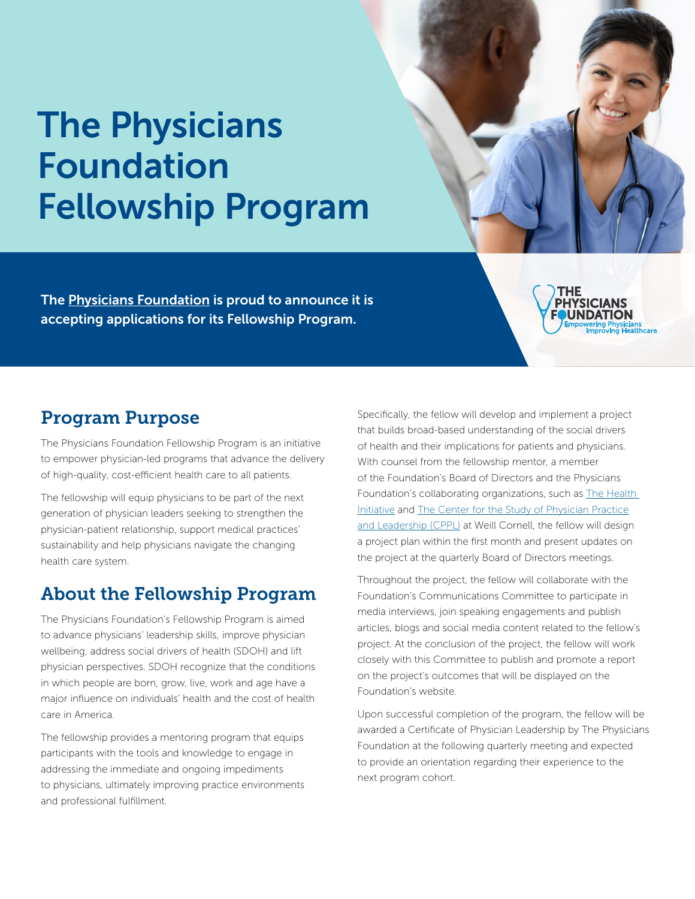# The Physicians Foundation Fellowship Program

The [Physicians Foundation](https://physiciansfoundation.org/) is proud to announce it is accepting applications for its Fellowship Program.



## Program Purpose

The Physicians Foundation Fellowship Program is an initiative to empower physician-led programs that advance the delivery of high-quality, cost-efficient health care to all patients.

The fellowship will equip physicians to be part of the next generation of physician leaders seeking to strengthen the physician-patient relationship, support medical practices' sustainability and help physicians navigate the changing health care system.

# About the Fellowship Program

The Physicians Foundation's Fellowship Program is aimed to advance physicians' leadership skills, improve physician wellbeing, address social drivers of health (SDOH) and lift physician perspectives. SDOH recognize that the conditions in which people are born, grow, live, work and age have a major influence on individuals' health and the cost of health care in America.

The fellowship provides a mentoring program that equips participants with the tools and knowledge to engage in addressing the immediate and ongoing impediments to physicians, ultimately improving practice environments and professional fulfillment.

Specifically, the fellow will develop and implement a project that builds broad-based understanding of the social drivers of health and their implications for patients and physicians. With counsel from the fellowship mentor, a member of the Foundation's Board of Directors and the Physicians Foundation's collaborating organizations, such as [The Health](https://healthinitiativeusa.org/)  [Initiative](https://healthinitiativeusa.org/) and [The Center for the Study of Physician Practice](https://phs.weill.cornell.edu/research-collaboration/research-programs/cppl) [and Leadership \(CPPL\)](https://phs.weill.cornell.edu/research-collaboration/research-programs/cppl) at Weill Cornell, the fellow will design a project plan within the first month and present updates on the project at the quarterly Board of Directors meetings.

Throughout the project, the fellow will collaborate with the Foundation's Communications Committee to participate in media interviews, join speaking engagements and publish articles, blogs and social media content related to the fellow's project. At the conclusion of the project, the fellow will work closely with this Committee to publish and promote a report on the project's outcomes that will be displayed on the Foundation's website.

Upon successful completion of the program, the fellow will be awarded a Certificate of Physician Leadership by The Physicians Foundation at the following quarterly meeting and expected to provide an orientation regarding their experience to the next program cohort.